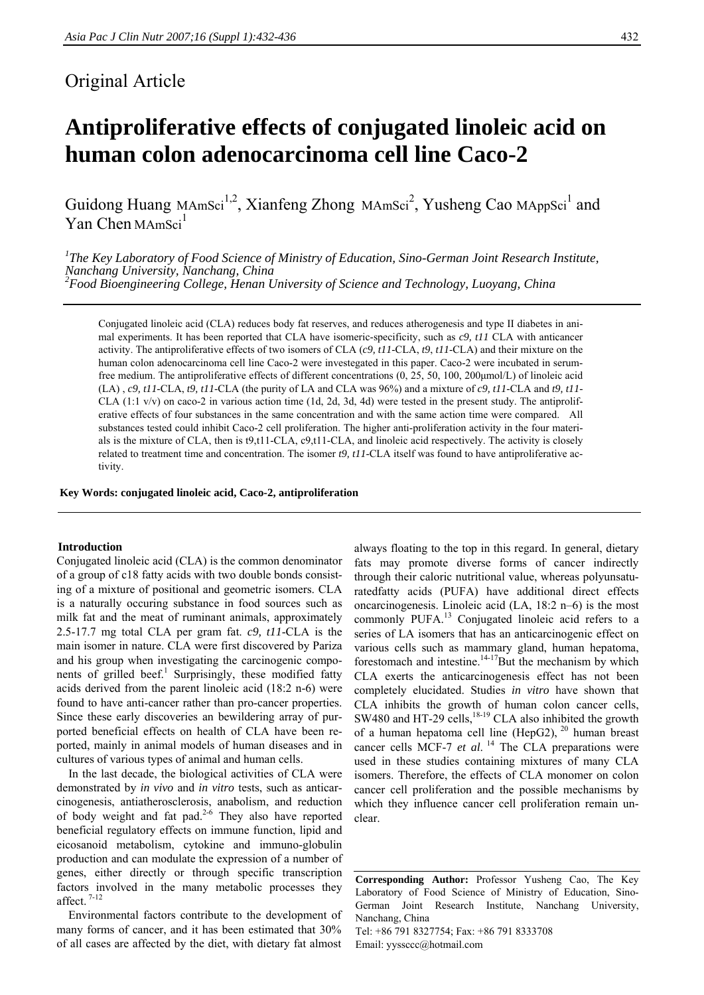## Original Article

# **Antiproliferative effects of conjugated linoleic acid on human colon adenocarcinoma cell line Caco-2**

Guidong Huang MAmSci<sup>1,2</sup>, Xianfeng Zhong MAmSci<sup>2</sup>, Yusheng Cao MAppSci<sup>1</sup> and Yan Chen MAmSci $<sup>1</sup>$ </sup>

<sup>1</sup>The Key Laboratory of Food Science of Ministry of Education, Sino-German Joint Research Institute, *Nanchang University, Nanchang, China 2 Food Bioengineering College, Henan University of Science and Technology, Luoyang, China* 

Conjugated linoleic acid (CLA) reduces body fat reserves, and reduces atherogenesis and type II diabetes in animal experiments. It has been reported that CLA have isomeric-specificity, such as *c9, t11* CLA with anticancer activity. The antiproliferative effects of two isomers of CLA (*c9, t11*-CLA, *t9*, *t11*-CLA) and their mixture on the human colon adenocarcinoma cell line Caco-2 were investegated in this paper. Caco-2 were incubated in serumfree medium. The antiproliferative effects of different concentrations (0, 25, 50, 100, 200μmol/L) of linoleic acid (LA) , *c9, t11*-CLA, *t9, t11*-CLA (the purity of LA and CLA was 96%) and a mixture of *c9, t11*-CLA and *t9, t11*- CLA  $(1:1 \text{ v/v})$  on caco-2 in various action time  $(1d, 2d, 3d, 4d)$  were tested in the present study. The antiproliferative effects of four substances in the same concentration and with the same action time were compared. All substances tested could inhibit Caco-2 cell proliferation. The higher anti-proliferation activity in the four materials is the mixture of CLA, then is t9,t11-CLA, c9,t11-CLA, and linoleic acid respectively. The activity is closely related to treatment time and concentration. The isomer *t9, t11*-CLA itself was found to have antiproliferative activity.

**Key Words: conjugated linoleic acid, Caco-2, antiproliferation** 

#### **Introduction**

Conjugated linoleic acid (CLA) is the common denominator of a group of c18 fatty acids with two double bonds consisting of a mixture of positional and geometric isomers. CLA is a naturally occuring substance in food sources such as milk fat and the meat of ruminant animals, approximately 2.5-17.7 mg total CLA per gram fat. *c9, t11*-CLA is the main isomer in nature. CLA were first discovered by Pariza and his group when investigating the carcinogenic components of grilled beef.<sup>1</sup> Surprisingly, these modified fatty acids derived from the parent linoleic acid (18:2 n-6) were found to have anti-cancer rather than pro-cancer properties. Since these early discoveries an bewildering array of purported beneficial effects on health of CLA have been reported, mainly in animal models of human diseases and in cultures of various types of animal and human cells.

 In the last decade, the biological activities of CLA were demonstrated by *in vivo* and *in vitro* tests, such as anticarcinogenesis, antiatherosclerosis, anabolism, and reduction of body weight and fat pad. $2-6$  They also have reported beneficial regulatory effects on immune function, lipid and eicosanoid metabolism, cytokine and immuno-globulin production and can modulate the expression of a number of genes, either directly or through specific transcription factors involved in the many metabolic processes they affect. 7-12

Environmental factors contribute to the development of many forms of cancer, and it has been estimated that 30% of all cases are affected by the diet, with dietary fat almost

always floating to the top in this regard. In general, dietary fats may promote diverse forms of cancer indirectly through their caloric nutritional value, whereas polyunsaturatedfatty acids (PUFA) have additional direct effects oncarcinogenesis. Linoleic acid (LA, 18:2 n–6) is the most commonly PUFA.<sup>13</sup> Conjugated linoleic acid refers to a series of LA isomers that has an anticarcinogenic effect on various cells such as mammary gland, human hepatoma, forestomach and intestine. $14-17$ But the mechanism by which CLA exerts the anticarcinogenesis effect has not been completely elucidated. Studies *in vitro* have shown that CLA inhibits the growth of human colon cancer cells, SW480 and HT-29 cells, $^{18-19}$  CLA also inhibited the growth of a human hepatoma cell line (HepG2),  $^{20}$  human breast cancer cells MCF-7 *et al.*<sup>14</sup> The CLA preparations were used in these studies containing mixtures of many CLA isomers. Therefore, the effects of CLA monomer on colon cancer cell proliferation and the possible mechanisms by which they influence cancer cell proliferation remain unclear.

**Corresponding Author:** Professor Yusheng Cao, The Key Laboratory of Food Science of Ministry of Education, Sino-German Joint Research Institute, Nanchang University, Nanchang, China Tel: +86 791 8327754; Fax: +86 791 8333708 Email: yyssccc@hotmail.com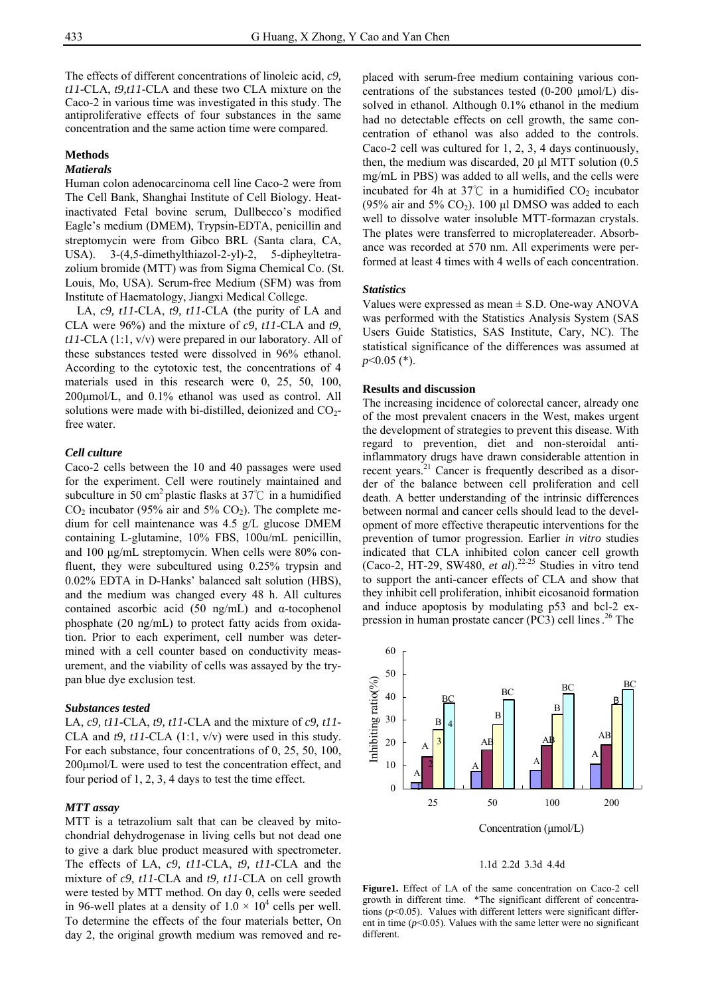The effects of different concentrations of linoleic acid, *c9, t11*-CLA, *t9,t11*-CLA and these two CLA mixture on the Caco-2 in various time was investigated in this study. The antiproliferative effects of four substances in the same concentration and the same action time were compared.

#### **Methods**

### *Matierals*

Human colon adenocarcinoma cell line Caco-2 were from The Cell Bank, Shanghai Institute of Cell Biology. Heatinactivated Fetal bovine serum, Dullbecco's modified Eagle's medium (DMEM), Trypsin-EDTA, penicillin and streptomycin were from Gibco BRL (Santa clara, CA, USA). 3-(4,5-dimethylthiazol-2-yl)-2, 5-dipheyltetrazolium bromide (MTT) was from Sigma Chemical Co. (St. Louis, Mo, USA). Serum-free Medium (SFM) was from Institute of Haematology, Jiangxi Medical College.

LA, *c9, t11*-CLA, *t9, t11*-CLA (the purity of LA and CLA were 96%) and the mixture of *c9, t11*-CLA and *t9, t11*-CLA (1:1, v/v) were prepared in our laboratory. All of these substances tested were dissolved in 96% ethanol. According to the cytotoxic test, the concentrations of 4 materials used in this research were 0, 25, 50, 100, 200μmol/L, and 0.1% ethanol was used as control. All solutions were made with bi-distilled, deionized and  $CO<sub>2</sub>$ free water.

#### *Cell culture*

Caco-2 cells between the 10 and 40 passages were used for the experiment. Cell were routinely maintained and subculture in 50 cm<sup>2</sup> plastic flasks at 37 $\degree$ C in a humidified  $CO<sub>2</sub>$  incubator (95% air and 5%  $CO<sub>2</sub>$ ). The complete medium for cell maintenance was 4.5 g/L glucose DMEM containing L-glutamine, 10% FBS, 100u/mL penicillin, and 100 μg/mL streptomycin. When cells were 80% confluent, they were subcultured using 0.25% trypsin and 0.02% EDTA in D-Hanks' balanced salt solution (HBS), and the medium was changed every 48 h. All cultures contained ascorbic acid (50 ng/mL) and  $\alpha$ -tocophenol phosphate (20 ng/mL) to protect fatty acids from oxidation. Prior to each experiment, cell number was determined with a cell counter based on conductivity measurement, and the viability of cells was assayed by the trypan blue dye exclusion test.

#### *Substances tested*

LA, *c9, t11*-CLA, *t9, t11*-CLA and the mixture of *c9, t11*- CLA and *t9, t11*-CLA (1:1, v/v) were used in this study. For each substance, four concentrations of 0, 25, 50, 100, 200μmol/L were used to test the concentration effect, and four period of 1, 2, 3, 4 days to test the time effect.

#### *MTT assay*

MTT is a tetrazolium salt that can be cleaved by mitochondrial dehydrogenase in living cells but not dead one to give a dark blue product measured with spectrometer. The effects of LA, *c9, t11*-CLA, *t9, t11*-CLA and the mixture of *c9, t11*-CLA and *t9, t11*-CLA on cell growth were tested by MTT method. On day 0, cells were seeded in 96-well plates at a density of  $1.0 \times 10^4$  cells per well. To determine the effects of the four materials better, On day 2, the original growth medium was removed and re-

placed with serum-free medium containing various concentrations of the substances tested (0-200 μmol/L) dissolved in ethanol. Although 0.1% ethanol in the medium had no detectable effects on cell growth, the same concentration of ethanol was also added to the controls. Caco-2 cell was cultured for 1, 2, 3, 4 days continuously, then, the medium was discarded, 20 μl MTT solution (0.5 mg/mL in PBS) was added to all wells, and the cells were incubated for 4h at 37°C in a humidified  $CO<sub>2</sub>$  incubator (95% air and 5%  $CO<sub>2</sub>$ ). 100 μl DMSO was added to each well to dissolve water insoluble MTT-formazan crystals. The plates were transferred to microplatereader. Absorbance was recorded at 570 nm. All experiments were performed at least 4 times with 4 wells of each concentration.

#### *Statistics*

Values were expressed as mean  $\pm$  S.D. One-way ANOVA was performed with the Statistics Analysis System (SAS Users Guide Statistics, SAS Institute, Cary, NC). The statistical significance of the differences was assumed at *p*<0.05 (\*).

#### **Results and discussion**

The increasing incidence of colorectal cancer, already one of the most prevalent cnacers in the West, makes urgent the development of strategies to prevent this disease. With regard to prevention, diet and non-steroidal antiinflammatory drugs have drawn considerable attention in recent years.<sup>21</sup> Cancer is frequently described as a disorder of the balance between cell proliferation and cell death. A better understanding of the intrinsic differences between normal and cancer cells should lead to the development of more effective therapeutic interventions for the prevention of tumor progression. Earlier *in vitro* studies indicated that CLA inhibited colon cancer cell growth (Caco-2, HT-29, SW480, *et al*).22-25 Studies in vitro tend to support the anti-cancer effects of CLA and show that they inhibit cell proliferation, inhibit eicosanoid formation and induce apoptosis by modulating p53 and bcl-2 expression in human prostate cancer (PC3) cell lines. 26 The



#### 1.1d 2.2d 3.3d 4.4d

**Figure1.** Effect of LA of the same concentration on Caco-2 cell growth in different time. \*The significant different of concentrations  $(p<0.05)$ . Values with different letters were significant different in time  $(p<0.05)$ . Values with the same letter were no significant different.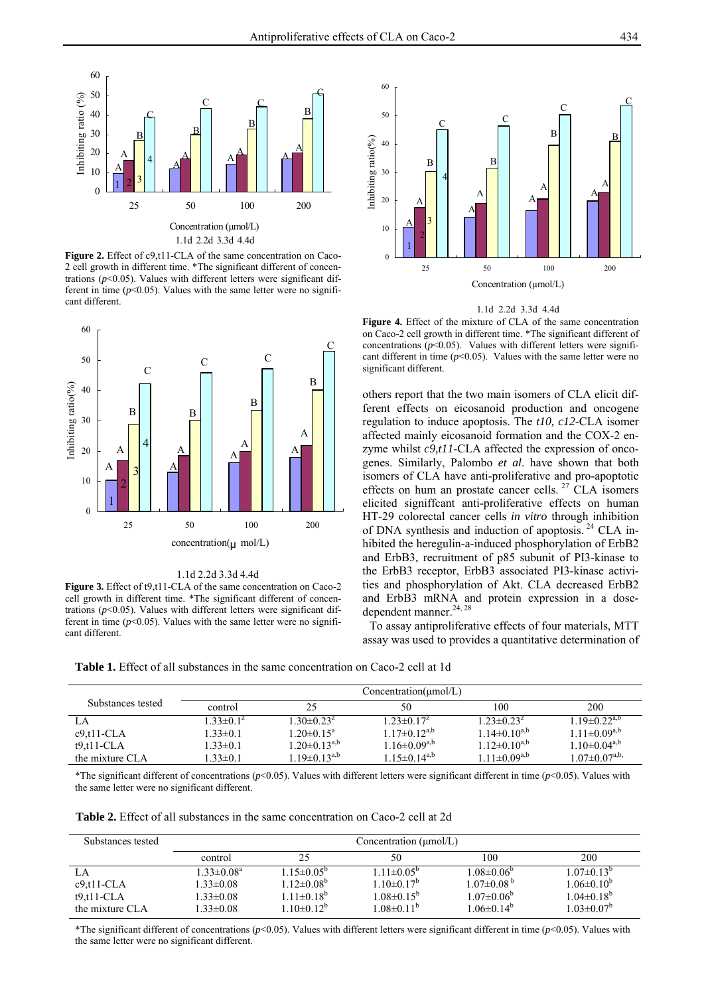

Figure 2. Effect of c9,t11-CLA of the same concentration on Caco-2 cell growth in different time. \*The significant different of concentrations  $(p<0.05)$ . Values with different letters were significant different in time  $(p<0.05)$ . Values with the same letter were no significant different.



1.1d 2.2d 3.3d 4.4d

Figure 3. Effect of t9,t11-CLA of the same concentration on Caco-2 cell growth in different time. \*The significant different of concentrations  $(p<0.05)$ . Values with different letters were significant different in time  $(p<0.05)$ . Values with the same letter were no significant different.



1.1d 2.2d 3.3d 4.4d

**Figure 4.** Effect of the mixture of CLA of the same concentration on Caco-2 cell growth in different time. \*The significant different of concentrations  $(p<0.05)$ . Values with different letters were significant different in time  $(p<0.05)$ . Values with the same letter were no significant different.

others report that the two main isomers of CLA elicit different effects on eicosanoid production and oncogene regulation to induce apoptosis. The *t10, c12*-CLA isomer affected mainly eicosanoid formation and the COX-2 enzyme whilst *c9,t11*-CLA affected the expression of oncogenes. Similarly, Palombo *et al*. have shown that both isomers of CLA have anti-proliferative and pro-apoptotic effects on hum an prostate cancer cells.<sup>27</sup> CLA isomers elicited signiffcant anti-proliferative effects on human HT-29 colorectal cancer cells *in vitro* through inhibition of DNA synthesis and induction of apoptosis. 24 CLA inhibited the heregulin-a-induced phosphorylation of ErbB2 and ErbB3, recruitment of p85 subunit of PI3-kinase to the ErbB3 receptor, ErbB3 associated PI3-kinase activities and phosphorylation of Akt. CLA decreased ErbB2 and ErbB3 mRNA and protein expression in a dosedependent manner.<sup>24, 28</sup>

To assay antiproliferative effects of four materials, MTT assay was used to provides a quantitative determination of

**Table 1.** Effect of all substances in the same concentration on Caco-2 cell at 1d

|                   |                  |                       | $Concentration(\mu mol/L)$ |                       |                       |
|-------------------|------------------|-----------------------|----------------------------|-----------------------|-----------------------|
| Substances tested | control          | 25                    | 50                         | 100                   | 200                   |
| LA                | $1.33 \pm 0.1^z$ | $1.30 \pm 0.23^z$     | $1.23 \pm 0.17^z$          | $1.23 \pm 0.23^z$     | $1.19\pm0.22^{a,b}$   |
| $c9, t11$ -CLA    | $1.33 \pm 0.1$   | $1.20 \pm 0.15^a$     | $1.17\pm0.12^{a,b}$        | $1.14 \pm 0.10^{a,b}$ | $1.11 \pm 0.09^{a,b}$ |
| $t9, t11$ -CLA    | $1.33 \pm 0.1$   | $1.20 \pm 0.13^{a,b}$ | $1.16\pm0.09^{a,b}$        | $1.12 \pm 0.10^{a,b}$ | $1.10\pm0.04^{a,b}$   |
| the mixture CLA   | $1.33 \pm 0.1$   | $1.19 \pm 0.13^{a,b}$ | $1.15 \pm 0.14^{a,b}$      | $1.11 \pm 0.09^{a,b}$ | $1.07\pm0.07^{a,b}$   |

\*The significant different of concentrations (*p*<0.05). Values with different letters were significant different in time (*p*<0.05). Values with the same letter were no significant different.

**Table 2.** Effect of all substances in the same concentration on Caco-2 cell at 2d

| Substances tested | Concentration $(\mu mol/L)$ |                         |                   |                         |                   |
|-------------------|-----------------------------|-------------------------|-------------------|-------------------------|-------------------|
|                   | control                     | 25                      | 50                | 100                     | 200               |
| LA                | $1.33 \pm 0.08^a$           | $1.15 \pm 0.05^{\circ}$ | $1.11 \pm 0.05^b$ | $1.08 \pm 0.06^{\circ}$ | $1.07\pm0.13^{b}$ |
| $c9.t11-CLA$      | $1.33 \pm 0.08$             | $1.12 \pm 0.08^b$       | $1.10\pm0.17^b$   | $1.07\pm0.08^{b}$       | $1.06 \pm 0.10^b$ |
| $t9, t11$ -CLA    | $1.33 \pm 0.08$             | $1.11 \pm 0.18^b$       | $1.08 \pm 0.15^b$ | $1.07\pm0.06^b$         | $1.04\pm0.18^{b}$ |
| the mixture CLA   | $1.33 \pm 0.08$             | $1.10\pm0.12^b$         | $1.08 \pm 0.11^b$ | $1.06 \pm 0.14^{\circ}$ | $1.03 \pm 0.07^b$ |

\*The significant different of concentrations (*p*<0.05). Values with different letters were significant different in time (*p*<0.05). Values with the same letter were no significant different.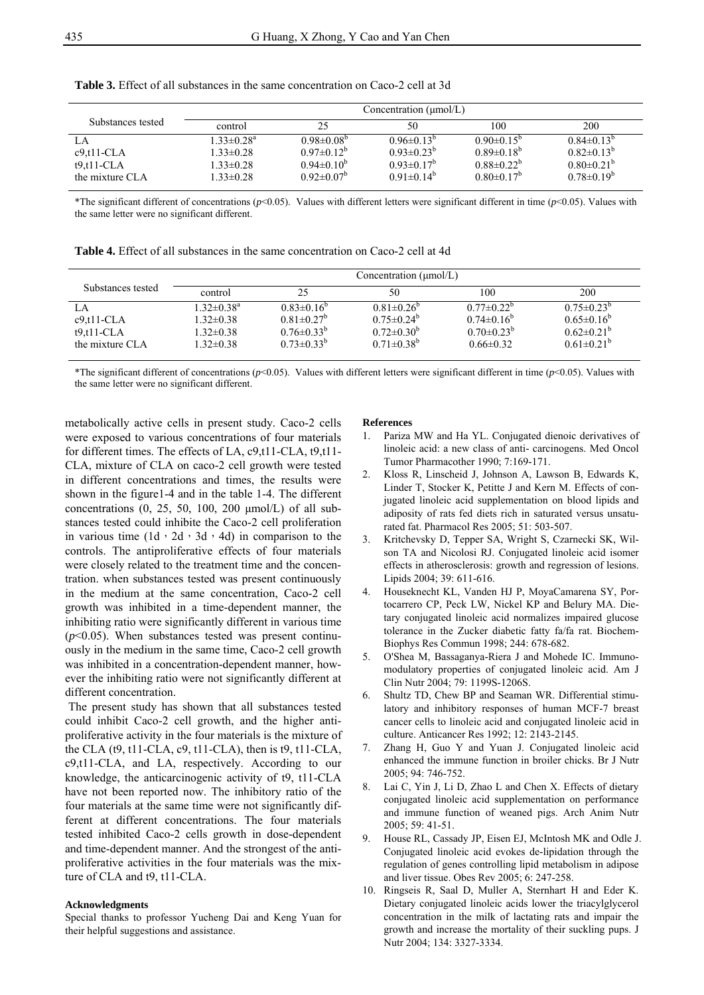|                                                         |                                                                                       |                                                                                              | Concentration $(\mu \text{mol/L})$                                                   |                                                                                                    |                                                                                    |
|---------------------------------------------------------|---------------------------------------------------------------------------------------|----------------------------------------------------------------------------------------------|--------------------------------------------------------------------------------------|----------------------------------------------------------------------------------------------------|------------------------------------------------------------------------------------|
| Substances tested                                       | control                                                                               | 25                                                                                           | 50                                                                                   | 100                                                                                                | 200                                                                                |
| LA<br>$c9.t11-CLA$<br>$t9, t11$ -CLA<br>the mixture CLA | $1.33 \pm 0.28$ <sup>a</sup><br>$1.33 \pm 0.28$<br>$1.33 \pm 0.28$<br>$1.33 \pm 0.28$ | $0.98 \pm 0.08^{\circ}$<br>$0.97 \pm 0.12^{\circ}$<br>$0.94 \pm 0.10^b$<br>$0.92 \pm 0.07^b$ | $0.96 \pm 0.13^{b}$<br>$0.93 \pm 0.23^{b}$<br>$0.93 \pm 0.17^b$<br>$0.91 \pm 0.14^b$ | $0.90 \pm 0.15^{\circ}$<br>$0.89 \pm 0.18^{\circ}$<br>$0.88 \pm 0.22^{\circ}$<br>$0.80 \pm 0.17^b$ | $0.84\pm0.13^{b}$<br>$0.82 \pm 0.13^{b}$<br>$0.80\pm0.21^{b}$<br>$0.78 \pm 0.19^b$ |

**Table 3.** Effect of all substances in the same concentration on Caco-2 cell at 3d

\*The significant different of concentrations (*p*<0.05). Values with different letters were significant different in time (*p*<0.05). Values with the same letter were no significant different.

|  |  | <b>Table 4.</b> Effect of all substances in the same concentration on Caco-2 cell at 4d |  |  |
|--|--|-----------------------------------------------------------------------------------------|--|--|
|--|--|-----------------------------------------------------------------------------------------|--|--|

|                                                         |                                                                                       |                                                                                                     | Concentration ( $\mu$ mol/L)                                                           |                                                                                      |                                                                                          |
|---------------------------------------------------------|---------------------------------------------------------------------------------------|-----------------------------------------------------------------------------------------------------|----------------------------------------------------------------------------------------|--------------------------------------------------------------------------------------|------------------------------------------------------------------------------------------|
| Substances tested                                       | control                                                                               | 25                                                                                                  | 50                                                                                     | 100                                                                                  | 200                                                                                      |
| LA<br>$c9.t11-CLA$<br>$t9, t11$ -CLA<br>the mixture CLA | $1.32 \pm 0.38$ <sup>a</sup><br>$1.32 \pm 0.38$<br>$1.32 \pm 0.38$<br>$1.32 \pm 0.38$ | $0.83\pm0.16^{\circ}$<br>$0.81 \pm 0.27$ <sup>b</sup><br>$0.76 \pm 0.33^{b}$<br>$0.73 \pm 0.33^{b}$ | $0.81 \pm 0.26^{\circ}$<br>$0.75 \pm 0.24^b$<br>$0.72 \pm 0.30^b$<br>$0.71 \pm 0.38^b$ | $0.77 \pm 0.22^{\circ}$<br>$0.74 \pm 0.16^b$<br>$0.70 \pm 0.23^b$<br>$0.66 \pm 0.32$ | $0.75 \pm 0.23^{\circ}$<br>$0.65 \pm 0.16^b$<br>$0.62 \pm 0.21^b$<br>$0.61 \pm 0.21^{b}$ |

\*The significant different of concentrations (*p*<0.05). Values with different letters were significant different in time (*p*<0.05). Values with the same letter were no significant different.

metabolically active cells in present study. Caco-2 cells were exposed to various concentrations of four materials for different times. The effects of LA, c9,t11-CLA, t9,t11- CLA, mixture of CLA on caco-2 cell growth were tested in different concentrations and times, the results were shown in the figure1-4 and in the table 1-4. The different concentrations (0, 25, 50, 100, 200 μmol/L) of all substances tested could inhibite the Caco-2 cell proliferation in various time  $(1d \cdot 2d \cdot 3d \cdot 4d)$  in comparison to the controls. The antiproliferative effects of four materials were closely related to the treatment time and the concentration. when substances tested was present continuously in the medium at the same concentration, Caco-2 cell growth was inhibited in a time-dependent manner, the inhibiting ratio were significantly different in various time  $(p<0.05)$ . When substances tested was present continuously in the medium in the same time, Caco-2 cell growth was inhibited in a concentration-dependent manner, however the inhibiting ratio were not significantly different at different concentration.

The present study has shown that all substances tested could inhibit Caco-2 cell growth, and the higher antiproliferative activity in the four materials is the mixture of the CLA (t9, t11-CLA, c9, t11-CLA), then is t9, t11-CLA, c9,t11-CLA, and LA, respectively. According to our knowledge, the anticarcinogenic activity of t9, t11-CLA have not been reported now. The inhibitory ratio of the four materials at the same time were not significantly different at different concentrations. The four materials tested inhibited Caco-2 cells growth in dose-dependent and time-dependent manner. And the strongest of the antiproliferative activities in the four materials was the mixture of CLA and t9, t11-CLA.

#### **Acknowledgments**

Special thanks to professor Yucheng Dai and Keng Yuan for their helpful suggestions and assistance.

#### **References**

- 1. Pariza MW and Ha YL. Conjugated dienoic derivatives of linoleic acid: a new class of anti- carcinogens. Med Oncol Tumor Pharmacother 1990; 7:169-171.
- 2. Kloss R, Linscheid J, Johnson A, Lawson B, Edwards K, Linder T, Stocker K, Petitte J and Kern M. Effects of conjugated linoleic acid supplementation on blood lipids and adiposity of rats fed diets rich in saturated versus unsaturated fat. Pharmacol Res 2005; 51: 503-507.
- 3. Kritchevsky D, Tepper SA, Wright S, Czarnecki SK, Wilson TA and Nicolosi RJ. Conjugated linoleic acid isomer effects in atherosclerosis: growth and regression of lesions. Lipids 2004; 39: 611-616.
- 4. Houseknecht KL, Vanden HJ P, MoyaCamarena SY, Portocarrero CP, Peck LW, Nickel KP and Belury MA. Dietary conjugated linoleic acid normalizes impaired glucose tolerance in the Zucker diabetic fatty fa/fa rat. Biochem-Biophys Res Commun 1998; 244: 678-682.
- 5. O'Shea M, Bassaganya-Riera J and Mohede IC. Immunomodulatory properties of conjugated linoleic acid. Am J Clin Nutr 2004; 79: 1199S-1206S.
- 6. Shultz TD, Chew BP and Seaman WR. Differential stimulatory and inhibitory responses of human MCF-7 breast cancer cells to linoleic acid and conjugated linoleic acid in culture. Anticancer Res 1992; 12: 2143-2145.
- 7. Zhang H, Guo Y and Yuan J. Conjugated linoleic acid enhanced the immune function in broiler chicks. Br J Nutr  $2005: 94: 746-752$ .
- 8. Lai C, Yin J, Li D, Zhao L and Chen X. Effects of dietary conjugated linoleic acid supplementation on performance and immune function of weaned pigs. Arch Anim Nutr 2005; 59: 41-51.
- 9. House RL, Cassady JP, Eisen EJ, McIntosh MK and Odle J. Conjugated linoleic acid evokes de-lipidation through the regulation of genes controlling lipid metabolism in adipose and liver tissue. Obes Rev 2005; 6: 247-258.
- 10. Ringseis R, Saal D, Muller A, Sternhart H and Eder K. Dietary conjugated linoleic acids lower the triacylglycerol concentration in the milk of lactating rats and impair the growth and increase the mortality of their suckling pups. J Nutr 2004; 134: 3327-3334.